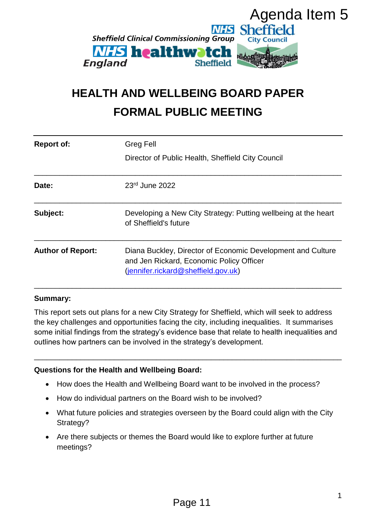

# **HEALTH AND WELLBEING BOARD PAPER FORMAL PUBLIC MEETING**

| Agenda Item 5<br><b>Sheffield</b><br><b>Sheffield Clinical Commissioning Group</b><br><b>City Council</b><br><b><i>NHS</i></b> healthwatch<br>England<br><b>Sheffield</b><br><b>HEALTH AND WELLBEING BOARD PAPER</b><br><b>FORMAL PUBLIC MEETING</b> |                                                                                                                                                                                                                                                                                                                                                                       |
|------------------------------------------------------------------------------------------------------------------------------------------------------------------------------------------------------------------------------------------------------|-----------------------------------------------------------------------------------------------------------------------------------------------------------------------------------------------------------------------------------------------------------------------------------------------------------------------------------------------------------------------|
| <b>Report of:</b>                                                                                                                                                                                                                                    | <b>Greg Fell</b>                                                                                                                                                                                                                                                                                                                                                      |
|                                                                                                                                                                                                                                                      | Director of Public Health, Sheffield City Council                                                                                                                                                                                                                                                                                                                     |
| Date:                                                                                                                                                                                                                                                | 23rd June 2022                                                                                                                                                                                                                                                                                                                                                        |
| Subject:                                                                                                                                                                                                                                             | Developing a New City Strategy: Putting wellbeing at the heart<br>of Sheffield's future                                                                                                                                                                                                                                                                               |
| <b>Author of Report:</b>                                                                                                                                                                                                                             | Diana Buckley, Director of Economic Development and Culture<br>and Jen Rickard, Economic Policy Officer<br>(jennifer.rickard@sheffield.gov.uk)                                                                                                                                                                                                                        |
| <b>Summary:</b>                                                                                                                                                                                                                                      |                                                                                                                                                                                                                                                                                                                                                                       |
|                                                                                                                                                                                                                                                      | This report sets out plans for a new City Strategy for Sheffield, which will seek to address<br>the key challenges and opportunities facing the city, including inequalities. It summarises<br>some initial findings from the strategy's evidence base that relate to health inequalities and<br>outlines how partners can be involved in the strategy's development. |
|                                                                                                                                                                                                                                                      | <b>Questions for the Health and Wellbeing Board:</b>                                                                                                                                                                                                                                                                                                                  |
| $\bullet$                                                                                                                                                                                                                                            | How does the Health and Wellbeing Board want to be involved in the process?                                                                                                                                                                                                                                                                                           |
| $\bullet$                                                                                                                                                                                                                                            | How do individual partners on the Board wish to be involved?                                                                                                                                                                                                                                                                                                          |
| Strategy?                                                                                                                                                                                                                                            | What future policies and strategies overseen by the Board could align with the City                                                                                                                                                                                                                                                                                   |
| $\bullet$<br>meetings?                                                                                                                                                                                                                               | Are there subjects or themes the Board would like to explore further at future                                                                                                                                                                                                                                                                                        |
|                                                                                                                                                                                                                                                      | 1<br>Page 11                                                                                                                                                                                                                                                                                                                                                          |

#### **Summary:**

#### **Questions for the Health and Wellbeing Board:**

- How does the Health and Wellbeing Board want to be involved in the process?
- How do individual partners on the Board wish to be involved?
- What future policies and strategies overseen by the Board could align with the City Strategy?
- Are there subjects or themes the Board would like to explore further at future meetings?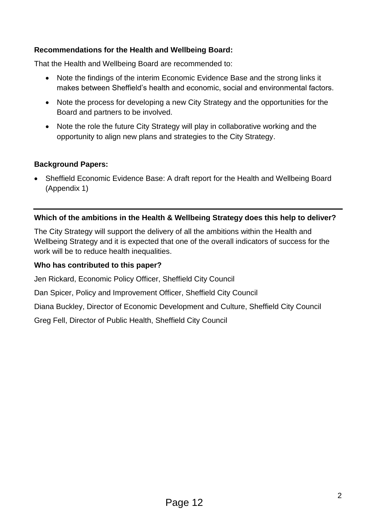## **Recommendations for the Health and Wellbeing Board:**

That the Health and Wellbeing Board are recommended to:

- Note the findings of the interim Economic Evidence Base and the strong links it makes between Sheffield's health and economic, social and environmental factors.
- Note the process for developing a new City Strategy and the opportunities for the Board and partners to be involved.
- Note the role the future City Strategy will play in collaborative working and the opportunity to align new plans and strategies to the City Strategy.

## **Background Papers:**

 Sheffield Economic Evidence Base: A draft report for the Health and Wellbeing Board (Appendix 1)

## **Which of the ambitions in the Health & Wellbeing Strategy does this help to deliver?**

The City Strategy will support the delivery of all the ambitions within the Health and Wellbeing Strategy and it is expected that one of the overall indicators of success for the work will be to reduce health inequalities.

### **Who has contributed to this paper?**

Jen Rickard, Economic Policy Officer, Sheffield City Council

Dan Spicer, Policy and Improvement Officer, Sheffield City Council

Diana Buckley, Director of Economic Development and Culture, Sheffield City Council

Greg Fell, Director of Public Health, Sheffield City Council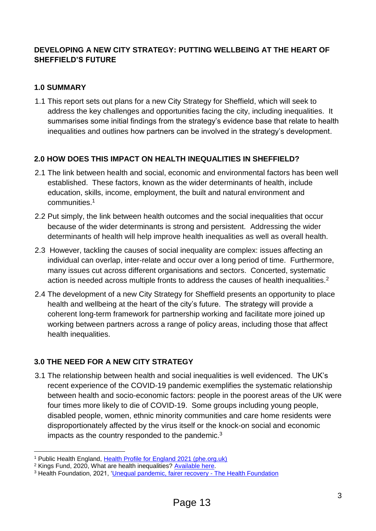# **DEVELOPING A NEW CITY STRATEGY: PUTTING WELLBEING AT THE HEART OF SHEFFIELD'S FUTURE**

# **1.0 SUMMARY**

1.1 This report sets out plans for a new City Strategy for Sheffield, which will seek to address the key challenges and opportunities facing the city, including inequalities. It summarises some initial findings from the strategy's evidence base that relate to health inequalities and outlines how partners can be involved in the strategy's development.

# **2.0 HOW DOES THIS IMPACT ON HEALTH INEQUALITIES IN SHEFFIELD?**

- 2.1 The link between health and social, economic and environmental factors has been well established. These factors, known as the wider determinants of health, include education, skills, income, employment, the built and natural environment and communities. 1
- 2.2 Put simply, the link between health outcomes and the social inequalities that occur because of the wider determinants is strong and persistent. Addressing the wider determinants of health will help improve health inequalities as well as overall health.
- 2.3 However, tackling the causes of social inequality are complex: issues affecting an individual can overlap, inter-relate and occur over a long period of time. Furthermore, many issues cut across different organisations and sectors. Concerted, systematic action is needed across multiple fronts to address the causes of health inequalities.<sup>2</sup>
- 2.4 The development of a new City Strategy for Sheffield presents an opportunity to place health and wellbeing at the heart of the city's future. The strategy will provide a coherent long-term framework for partnership working and facilitate more joined up working between partners across a range of policy areas, including those that affect health inequalities.

# **3.0 THE NEED FOR A NEW CITY STRATEGY**

3.1 The relationship between health and social inequalities is well evidenced. The UK's recent experience of the COVID-19 pandemic exemplifies the systematic relationship between health and socio-economic factors: people in the poorest areas of the UK were four times more likely to die of COVID-19. Some groups including young people, disabled people, women, ethnic minority communities and care home residents were disproportionately affected by the virus itself or the knock-on social and economic impacts as the country responded to the pandemic.<sup>3</sup>

1

<sup>1</sup> Public Health England, [Health Profile for England 2021 \(phe.org.uk\)](https://fingertips.phe.org.uk/static-reports/health-profile-for-england/hpfe_report.html#wider-determinants-of-health)

<sup>2</sup> Kings Fund, 2020, What are health inequalities? [Available here.](https://www.kingsfund.org.uk/publications/what-are-health-inequalities)

<sup>&</sup>lt;sup>3</sup> Health Foundation, 2021, ['Unequal pandemic, fairer recovery -](https://www.health.org.uk/publications/reports/unequal-pandemic-fairer-recovery?gclid=EAIaIQobChMIi-f2ltmi-AIVKYBQBh2JiQLPEAAYASAAEgKi4fD_BwE) The Health Foundation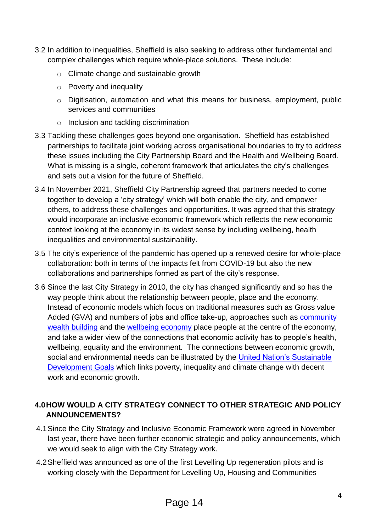- 3.2 In addition to inequalities, Sheffield is also seeking to address other fundamental and complex challenges which require whole-place solutions. These include:
	- o Climate change and sustainable growth
	- o Poverty and inequality
	- o Digitisation, automation and what this means for business, employment, public services and communities
	- o Inclusion and tackling discrimination
- 3.3 Tackling these challenges goes beyond one organisation. Sheffield has established partnerships to facilitate joint working across organisational boundaries to try to address these issues including the City Partnership Board and the Health and Wellbeing Board. What is missing is a single, coherent framework that articulates the city's challenges and sets out a vision for the future of Sheffield.
- 3.4 In November 2021, Sheffield City Partnership agreed that partners needed to come together to develop a 'city strategy' which will both enable the city, and empower others, to address these challenges and opportunities. It was agreed that this strategy would incorporate an inclusive economic framework which reflects the new economic context looking at the economy in its widest sense by including wellbeing, health inequalities and environmental sustainability.
- 3.5 The city's experience of the pandemic has opened up a renewed desire for whole-place collaboration: both in terms of the impacts felt from COVID-19 but also the new collaborations and partnerships formed as part of the city's response.
- 3.6 Since the last City Strategy in 2010, the city has changed significantly and so has the way people think about the relationship between people, place and the economy. Instead of economic models which focus on traditional measures such as Gross value Added (GVA) and numbers of jobs and office take-up, approaches such as **community** [wealth building](https://cles.org.uk/community-wealth-building/what-is-community-wealth-building/) and the [wellbeing economy](https://neweconomics.org/campaigns/wellbeing) place people at the centre of the economy, and take a wider view of the connections that economic activity has to people's health, wellbeing, equality and the environment. The connections between economic growth, social and environmental needs can be illustrated by the United Nation's Sustainable [Development Goals](https://www.un.org/sustainabledevelopment/sustainable-development-goals/) which links poverty, inequality and climate change with decent work and economic growth.

# **4.0HOW WOULD A CITY STRATEGY CONNECT TO OTHER STRATEGIC AND POLICY ANNOUNCEMENTS?**

- 4.1Since the City Strategy and Inclusive Economic Framework were agreed in November last year, there have been further economic strategic and policy announcements, which we would seek to align with the City Strategy work.
- 4.2Sheffield was announced as one of the first Levelling Up regeneration pilots and is working closely with the Department for Levelling Up, Housing and Communities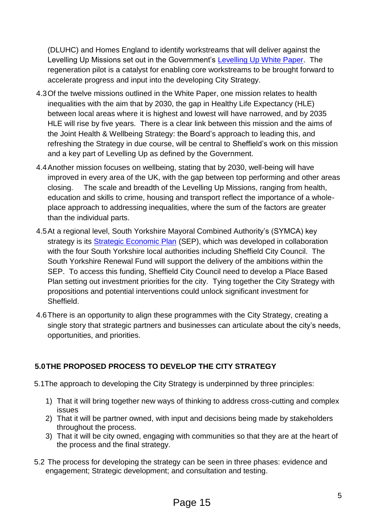(DLUHC) and Homes England to identify workstreams that will deliver against the Levelling Up Missions set out in the Government's [Levelling Up White Paper.](https://assets.publishing.service.gov.uk/government/uploads/system/uploads/attachment_data/file/1052706/Levelling_Up_WP_HRES.pdf) The regeneration pilot is a catalyst for enabling core workstreams to be brought forward to accelerate progress and input into the developing City Strategy.

- 4.3Of the twelve missions outlined in the White Paper, one mission relates to health inequalities with the aim that by 2030, the gap in Healthy Life Expectancy (HLE) between local areas where it is highest and lowest will have narrowed, and by 2035 HLE will rise by five years. There is a clear link between this mission and the aims of the Joint Health & Wellbeing Strategy: the Board's approach to leading this, and refreshing the Strategy in due course, will be central to Sheffield's work on this mission and a key part of Levelling Up as defined by the Government.
- 4.4Another mission focuses on wellbeing, stating that by 2030, well-being will have improved in every area of the UK, with the gap between top performing and other areas closing. The scale and breadth of the Levelling Up Missions, ranging from health, education and skills to crime, housing and transport reflect the importance of a wholeplace approach to addressing inequalities, where the sum of the factors are greater than the individual parts.
- 4.5At a regional level, South Yorkshire Mayoral Combined Authority's (SYMCA) key strategy is its **Strategic Economic Plan** (SEP), which was developed in collaboration with the four South Yorkshire local authorities including Sheffield City Council. The South Yorkshire Renewal Fund will support the delivery of the ambitions within the SEP. To access this funding, Sheffield City Council need to develop a Place Based Plan setting out investment priorities for the city. Tying together the City Strategy with propositions and potential interventions could unlock significant investment for Sheffield.
- 4.6There is an opportunity to align these programmes with the City Strategy, creating a single story that strategic partners and businesses can articulate about the city's needs, opportunities, and priorities.

# **5.0THE PROPOSED PROCESS TO DEVELOP THE CITY STRATEGY**

- 5.1The approach to developing the City Strategy is underpinned by three principles:
	- 1) That it will bring together new ways of thinking to address cross-cutting and complex issues
	- 2) That it will be partner owned, with input and decisions being made by stakeholders throughout the process.
	- 3) That it will be city owned, engaging with communities so that they are at the heart of the process and the final strategy.
- 5.2 The process for developing the strategy can be seen in three phases: evidence and engagement; Strategic development; and consultation and testing.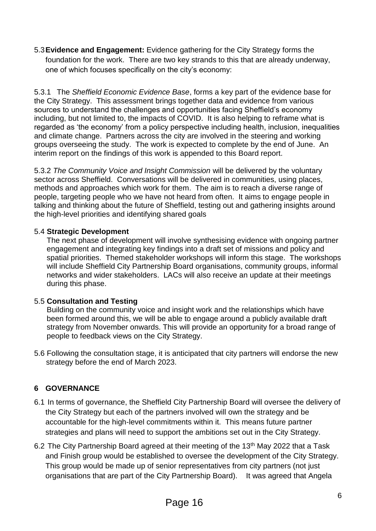5.3**Evidence and Engagement:** Evidence gathering for the City Strategy forms the foundation for the work. There are two key strands to this that are already underway, one of which focuses specifically on the city's economy:

5.3.1 The *Sheffield Economic Evidence Base*, forms a key part of the evidence base for the City Strategy. This assessment brings together data and evidence from various sources to understand the challenges and opportunities facing Sheffield's economy including, but not limited to, the impacts of COVID. It is also helping to reframe what is regarded as 'the economy' from a policy perspective including health, inclusion, inequalities and climate change. Partners across the city are involved in the steering and working groups overseeing the study. The work is expected to complete by the end of June. An interim report on the findings of this work is appended to this Board report.

5.3.2 *The Community Voice and Insight Commission* will be delivered by the voluntary sector across Sheffield. Conversations will be delivered in communities, using places, methods and approaches which work for them. The aim is to reach a diverse range of people, targeting people who we have not heard from often. It aims to engage people in talking and thinking about the future of Sheffield, testing out and gathering insights around the high-level priorities and identifying shared goals

## 5.4 **Strategic Development**

The next phase of development will involve synthesising evidence with ongoing partner engagement and integrating key findings into a draft set of missions and policy and spatial priorities. Themed stakeholder workshops will inform this stage. The workshops will include Sheffield City Partnership Board organisations, community groups, informal networks and wider stakeholders. LACs will also receive an update at their meetings during this phase.

#### 5.5 **Consultation and Testing**

Building on the community voice and insight work and the relationships which have been formed around this, we will be able to engage around a publicly available draft strategy from November onwards. This will provide an opportunity for a broad range of people to feedback views on the City Strategy.

5.6 Following the consultation stage, it is anticipated that city partners will endorse the new strategy before the end of March 2023.

# **6 GOVERNANCE**

- 6.1 In terms of governance, the Sheffield City Partnership Board will oversee the delivery of the City Strategy but each of the partners involved will own the strategy and be accountable for the high-level commitments within it. This means future partner strategies and plans will need to support the ambitions set out in the City Strategy.
- 6.2 The City Partnership Board agreed at their meeting of the 13<sup>th</sup> May 2022 that a Task and Finish group would be established to oversee the development of the City Strategy. This group would be made up of senior representatives from city partners (not just organisations that are part of the City Partnership Board). It was agreed that Angela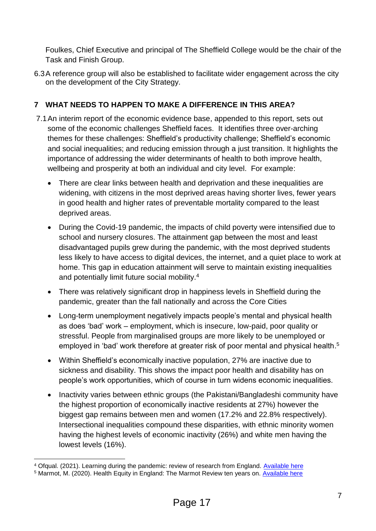Foulkes, Chief Executive and principal of The Sheffield College would be the chair of the Task and Finish Group.

6.3A reference group will also be established to facilitate wider engagement across the city on the development of the City Strategy.

# **7 WHAT NEEDS TO HAPPEN TO MAKE A DIFFERENCE IN THIS AREA?**

- 7.1An interim report of the economic evidence base, appended to this report, sets out some of the economic challenges Sheffield faces. It identifies three over-arching themes for these challenges: Sheffield's productivity challenge; Sheffield's economic and social inequalities; and reducing emission through a just transition. It highlights the importance of addressing the wider determinants of health to both improve health, wellbeing and prosperity at both an individual and city level. For example:
	- There are clear links between health and deprivation and these inequalities are widening, with citizens in the most deprived areas having shorter lives, fewer years in good health and higher rates of preventable mortality compared to the least deprived areas.
	- During the Covid-19 pandemic, the impacts of child poverty were intensified due to school and nursery closures. The attainment gap between the most and least disadvantaged pupils grew during the pandemic, with the most deprived students less likely to have access to digital devices, the internet, and a quiet place to work at home. This gap in education attainment will serve to maintain existing inequalities and potentially limit future social mobility.<sup>4</sup>
	- There was relatively significant drop in happiness levels in Sheffield during the pandemic, greater than the fall nationally and across the Core Cities
	- Long-term unemployment negatively impacts people's mental and physical health as does 'bad' work – employment, which is insecure, low-paid, poor quality or stressful. People from marginalised groups are more likely to be unemployed or employed in 'bad' work therefore at greater risk of poor mental and physical health.<sup>5</sup>
	- Within Sheffield's economically inactive population, 27% are inactive due to sickness and disability. This shows the impact poor health and disability has on people's work opportunities, which of course in turn widens economic inequalities.
	- Inactivity varies between ethnic groups (the Pakistani/Bangladeshi community have the highest proportion of economically inactive residents at 27%) however the biggest gap remains between men and women (17.2% and 22.8% respectively). Intersectional inequalities compound these disparities, with ethnic minority women having the highest levels of economic inactivity (26%) and white men having the lowest levels (16%).

<sup>1</sup> <sup>4</sup> Ofgual. (2021). Learning during the pandemic: review of research from England. [Available here](https://www.gov.uk/government/publications/learning-during-the-pandemic/learning-during-the-pandemic-review-of-research-from-england)

<sup>5</sup> Marmot, M. (2020). Health Equity in England: The Marmot Review ten years on. [Available here](https://www.health.org.uk/publications/reports/the-marmot-review-10-years-on?gclid=EAIaIQobChMIyfeSiP2i-AIVg7HtCh27VguKEAAYASAAEgL1vvD_BwE)